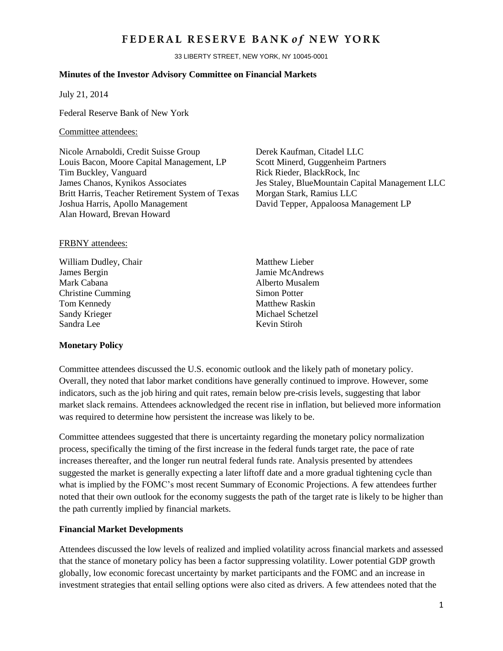# FEDERAL RESERVE BANK of NEW YORK

33 LIBERTY STREET, NEW YORK, NY 10045-0001

### **Minutes of the Investor Advisory Committee on Financial Markets**

July 21, 2014

Federal Reserve Bank of New York

#### Committee attendees:

Nicole Arnaboldi, Credit Suisse Group Derek Kaufman, Citadel LLC Louis Bacon, Moore Capital Management, LP Scott Minerd, Guggenheim Partners Tim Buckley, Vanguard Rick Rieder, BlackRock, Inc Britt Harris, Teacher Retirement System of Texas Morgan Stark, Ramius LLC Joshua Harris, Apollo Management David Tepper, Appaloosa Management LP Alan Howard, Brevan Howard

James Chanos, Kynikos Associates Jes Staley, BlueMountain Capital Management LLC

#### FRBNY attendees:

William Dudley, Chair Matthew Lieber James Bergin Jamie McAndrews Mark Cabana **Alberto Musalem** Christine Cumming Simon Potter Tom Kennedy Matthew Raskin Sandy Krieger Michael Schetzel Sandra Lee Kevin Stiroh

### **Monetary Policy**

Committee attendees discussed the U.S. economic outlook and the likely path of monetary policy. Overall, they noted that labor market conditions have generally continued to improve. However, some indicators, such as the job hiring and quit rates, remain below pre-crisis levels, suggesting that labor market slack remains. Attendees acknowledged the recent rise in inflation, but believed more information was required to determine how persistent the increase was likely to be.

Committee attendees suggested that there is uncertainty regarding the monetary policy normalization process, specifically the timing of the first increase in the federal funds target rate, the pace of rate increases thereafter, and the longer run neutral federal funds rate. Analysis presented by attendees suggested the market is generally expecting a later liftoff date and a more gradual tightening cycle than what is implied by the FOMC's most recent Summary of Economic Projections. A few attendees further noted that their own outlook for the economy suggests the path of the target rate is likely to be higher than the path currently implied by financial markets.

## **Financial Market Developments**

Attendees discussed the low levels of realized and implied volatility across financial markets and assessed that the stance of monetary policy has been a factor suppressing volatility. Lower potential GDP growth globally, low economic forecast uncertainty by market participants and the FOMC and an increase in investment strategies that entail selling options were also cited as drivers. A few attendees noted that the